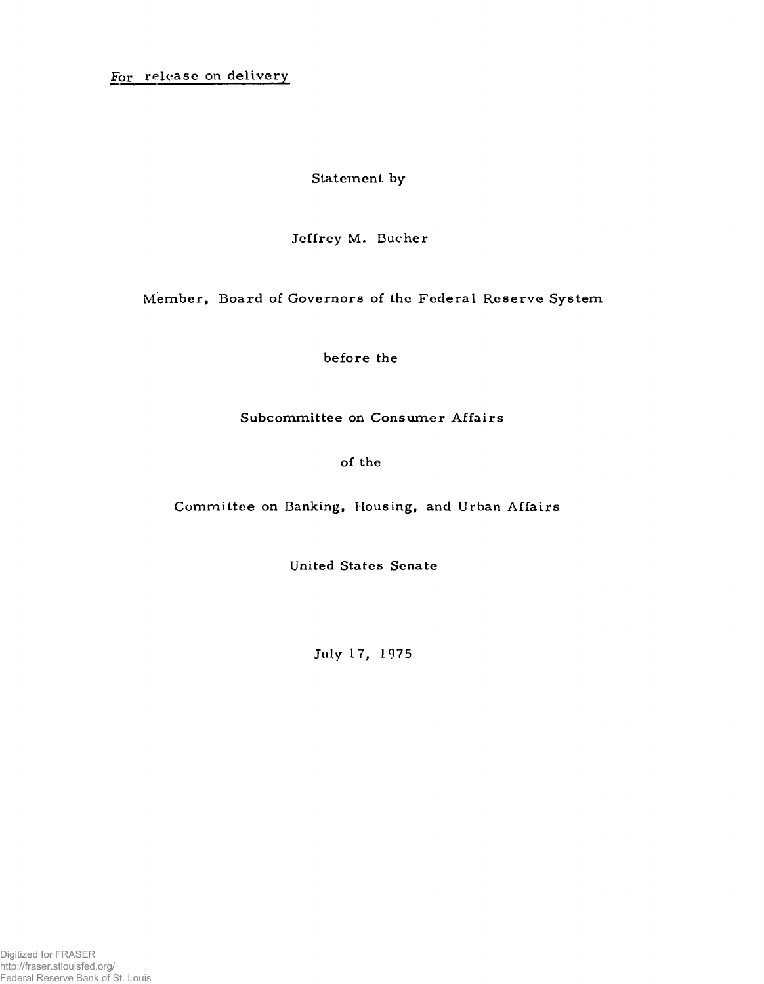For release on delivery

Statement by

Jeffrey M. Bucher

Member, Board of Governors of the Federal Reserve System

before the

Subcommittee on Consumer Affairs

of the

Committee on Banking, Housing, and Urban Affairs

United States Senate

**July 17, 1975**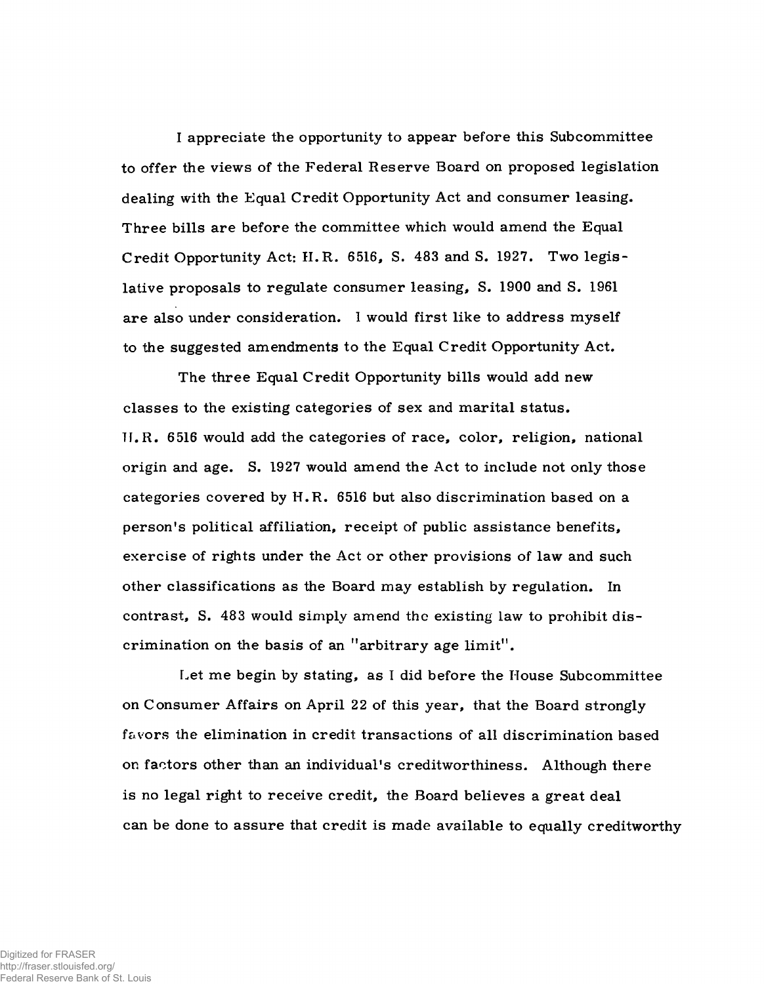I appreciate the opportunity to appear before this Subcommittee to offer the views of the Federal Reserve Board on proposed legislation dealing with the Equal Credit Opportunity Act and consumer leasing. Three bills are before the committee which would amend the Equal Credit Opportunity Act: II.R . 6516, S. 483 and S. 1927. Two legislative proposals to regulate consumer leasing, S. 1900 and S. 1961 are also under consideration. 1 would first like to address myself to the suggested amendments to the Equal Credit Opportunity Act.

The three Equal Credit Opportunity bills would add new classes to the existing categories of sex and marital status. Ti.R. 6516 would add the categories of race, color, religion, national origin and age. S. 1927 would amend the Act to include not only those categories covered by H.R. 6516 but also discrimination based on a person's political affiliation, receipt of public assistance benefits, exercise of rights under the Act or other provisions of law and such other classifications as the Board may establish by regulation. In contrast, S. 483 would simply amend the existing law to prohibit discrimination on the basis of an "arbitrary age limit".

Let me begin by stating, as I did before the House Subcommittee on Consumer Affairs on April 22 of this year, that the Board strongly f&vors the elimination in credit transactions of all discrimination based on factors other than an individual's creditworthiness. Although there is no legal right to receive credit, the Board believes a great deal can be done to assure that credit is made available to equally creditworthy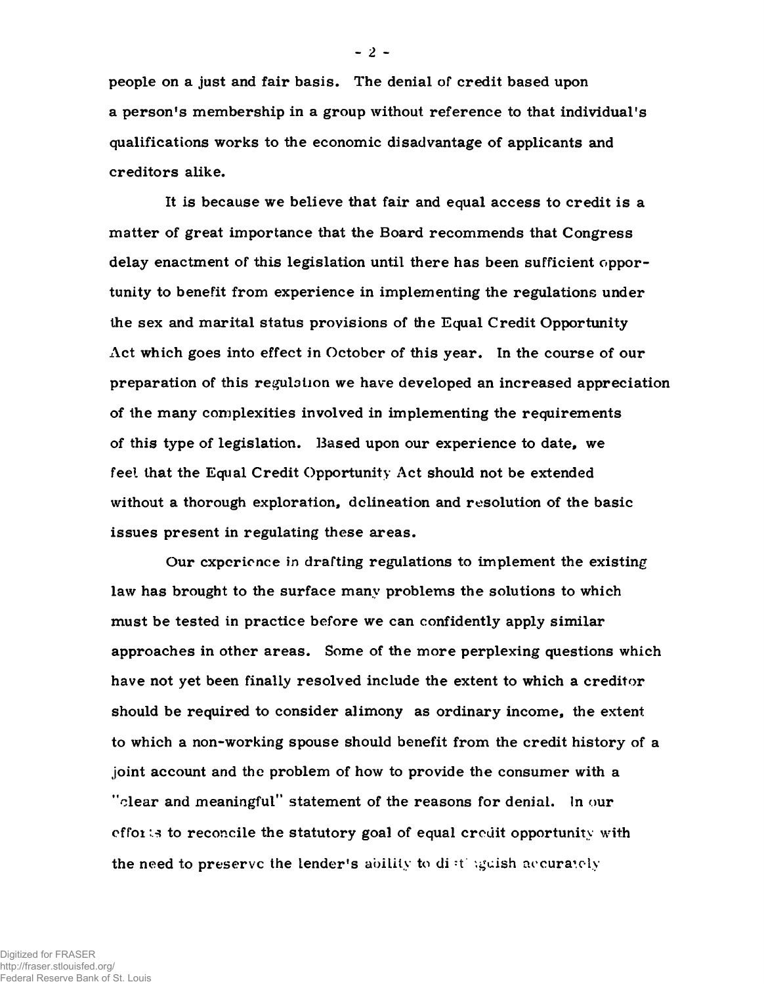**people on a just and fair basis. The denial of credit based upon a person's membership in a group without reference to that individual's qualifications works to the economic disadvantage of applicants and creditors alike.**

**It is because we believe that fair and equal access to credit is a matter of great importance that the Board recommends that Congress delay enactment of this legislation until there has been sufficient opportunity to benefit from experience in implementing the regulations under the sex and marital status provisions of the Equal Credit Opportunity Act which goes into effect in Octobcr of this year. In the course of our preparation of this regulation we have developed an increased appreciation of the many complexities involved in implementing the requirements of this type of legislation. Based upon our experience to date, we feel that the Equal Credit Opportunity Act should not be extended without a thorough exploration, delineation and resolution of the basic issues present in regulating these areas.**

**Our cxpcrionce in drafting regulations to implement the existing law has brought to the surface many problems the solutions to which** must be tested in practice before we can confidently apply similar **approaches in other areas. Some of the more perplexing questions which have not yet been finally resolved include the extent to which a creditor should be required to consider alimony as ordinary income, the extent to which a non-working spouse should benefit from the credit history of a joint account and the problem of how to provide the consumer with a "clear and meaningful" statement of the reasons for denial. In our effoi :.s to reconcile the statutory goal of equal credit opportunity with the need to preserve the lender's ability to di -t '.gcish arcura'.oly**

**-** 2 **-**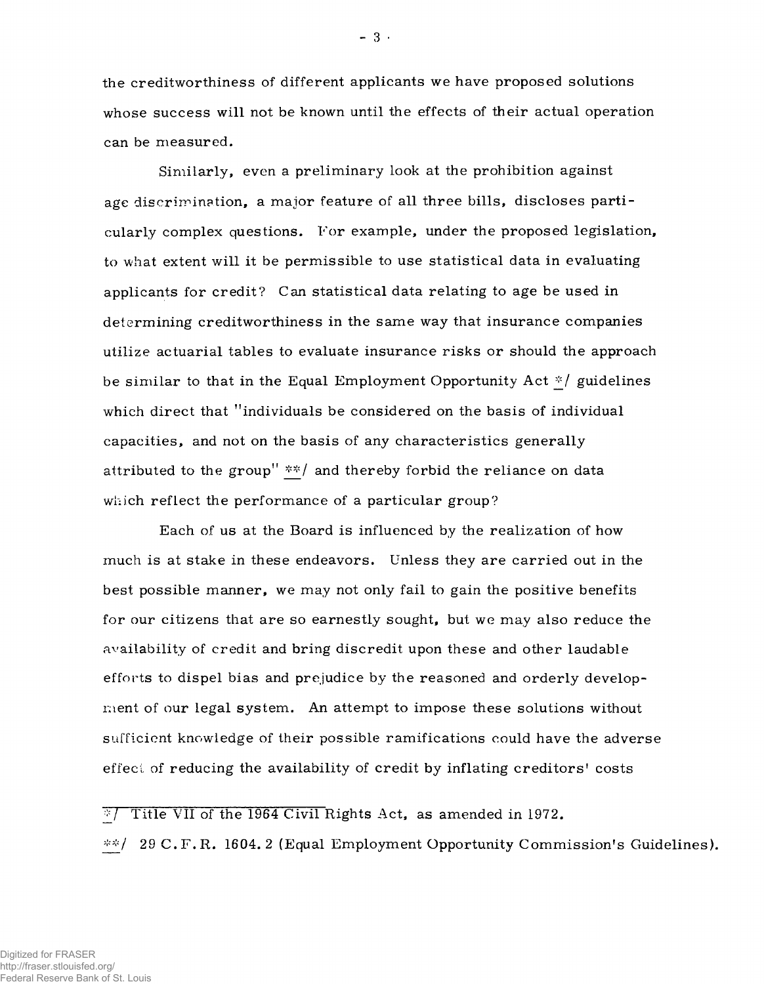the creditworthiness of different applicants we have proposed solutions whose success will not be known until the effects of their actual operation can be measured.

Similarly, even a preliminary look at the prohibition against age discrimination, a major feature of all three bills, discloses particularly complex questions. For example, under the proposed legislation, to what extent will it be permissible to use statistical data in evaluating applicants for credit? Can statistical data relating to age be used in determining creditworthiness in the same way that insurance companies utilize actuarial tables to evaluate insurance risks or should the approach be similar to that in the Equal Employment Opportunity Act  $*$ / guidelines which direct that "individuals be considered on the basis of individual capacities, and not on the basis of any characteristics generally attributed to the group" \*\*/ and thereby forbid the reliance on data which reflect the performance of a particular group?

Each of us at the Board is influenced by the realization of how much is at stake in these endeavors. Unless they are carried out in the best possible manner, we may not only fail to gain the positive benefits for our citizens that are so earnestly sought, but we may also reduce the availability of credit and bring discredit upon these and other laudable efforts to dispel bias and prejudice by the reasoned and orderly development of our legal system. An attempt to impose these solutions without sufficient knowledge of their possible ramifications could have the adverse effect of reducing the availability of credit by inflating creditors' costs

**£ 7** Title VII of the 1964 Civil Rights Act, as amended in 1972.

29 C.F.R. 1604. 2 (Equal Employment Opportunity Commission's Guidelines).

**- 3 -**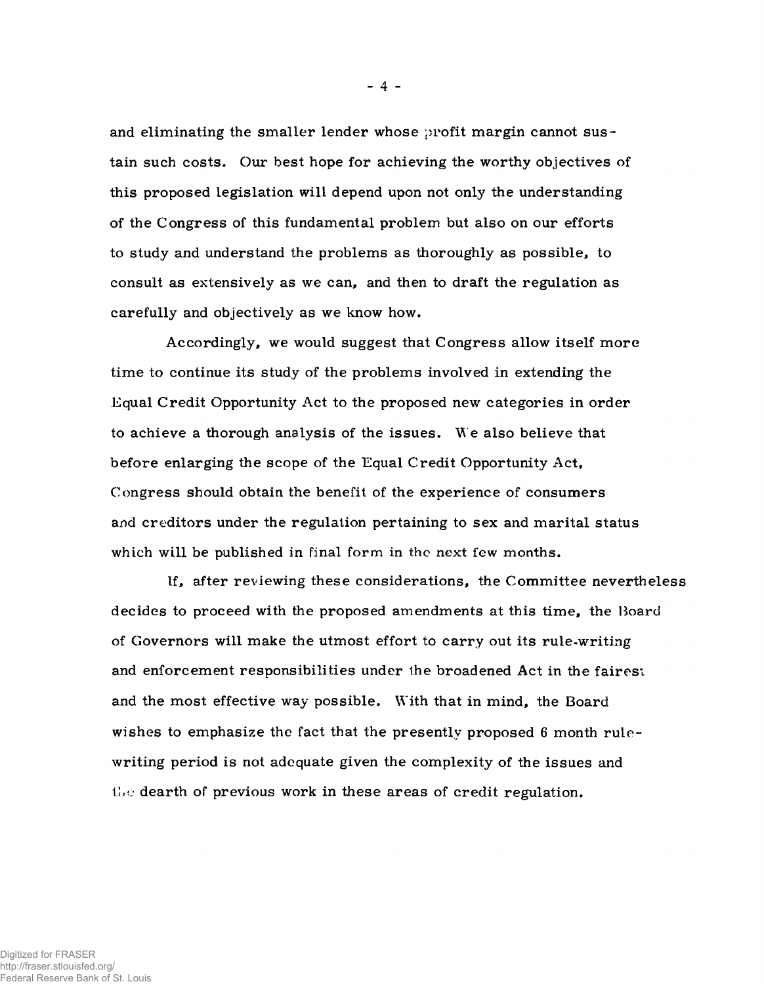and eliminating the smaller lender whose profit margin cannot sustain such costs. Our best hope for achieving the worthy objectives of this proposed legislation will depend upon not only the understanding of the Congress of this fundamental problem but also on our efforts to study and understand the problems as thoroughly as possible, to consult as extensively as we can, and then to draft the regulation as carefully and objectively as we know how.

Accordingly, we would suggest that Congress allow itself more time to continue its study of the problems involved in extending the Equal Credit Opportunity Act to the proposed new categories in order to achieve a thorough analysis of the issues. We also believe that before enlarging the scope of the Equal Credit Opportunity Act, Congress should obtain the benefit of the experience of consumers and creditors under the regulation pertaining to sex and marital status which will be published in final form in the next few months.

If, after reviewing these considerations, the Committee nevertheless decides to proceed with the proposed amendments at this time, the Hoard of Governors will make the utmost effort to carry out its rule-writing and enforcement responsibilities under the broadened Act in the fairest and the most effective way possible. With that in mind, the Board wishes to emphasize the fact that the presently proposed 6 month rulewriting period is not adequate given the complexity of the issues and  $t_{\text{tot}}$  dearth of previous work in these areas of credit regulation.

Digitized for FRASER

http://fraser.stlouisfed.org/ Federal Reserve Bank of St. Louis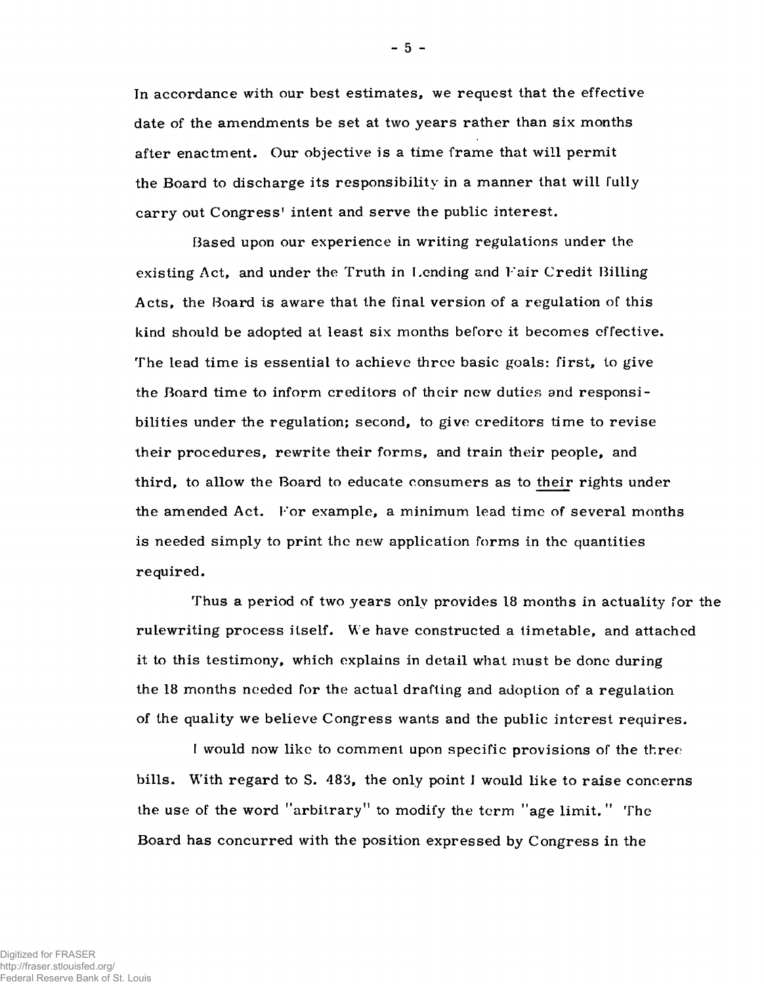In accordance with our best estimates, we request that the effective date of the amendments be set at two years rather than six months after enactment. Our objective is a time frame that will permit the Board to discharge its responsibility in a manner that will fully carry out Congress' intent and serve the public interest.

Based upon our experience in writing regulations under the existing Act, and under the Truth in Lending and Fair Credit Billing Acts, the Board is aware that the final version of a regulation of this kind should be adopted at least six months before it becomes effective. The lead time is essential to achieve three basic goals: first, to give the Board time to inform creditors of their new duties and responsibilities under the regulation; second, to give creditors time to revise their procedures, rewrite their forms, and train their people, and third, to allow the Board to educate consumers as to their rights under the amended Act. For example, a minimum lead time of several months is needed simply to print the new application forms in the quantities required.

Thus a period of two years only provides 18 months in actuality for the rulewriting process itself. We have constructed a timetable, and attached it to this testimony, which explains in detail what must be done during the 18 months needed for the actual drafting and adoption of a regulation of the quality we believe Congress wants and the public interest requires.

I would now like to comment upon specific provisions of the three bills. With regard to S. 483, the only point 1 would like to raise concerns the use of the word "arbitrary" to modify the term "age limit." The Board has concurred with the position expressed by Congress in the

**-** 5 **-**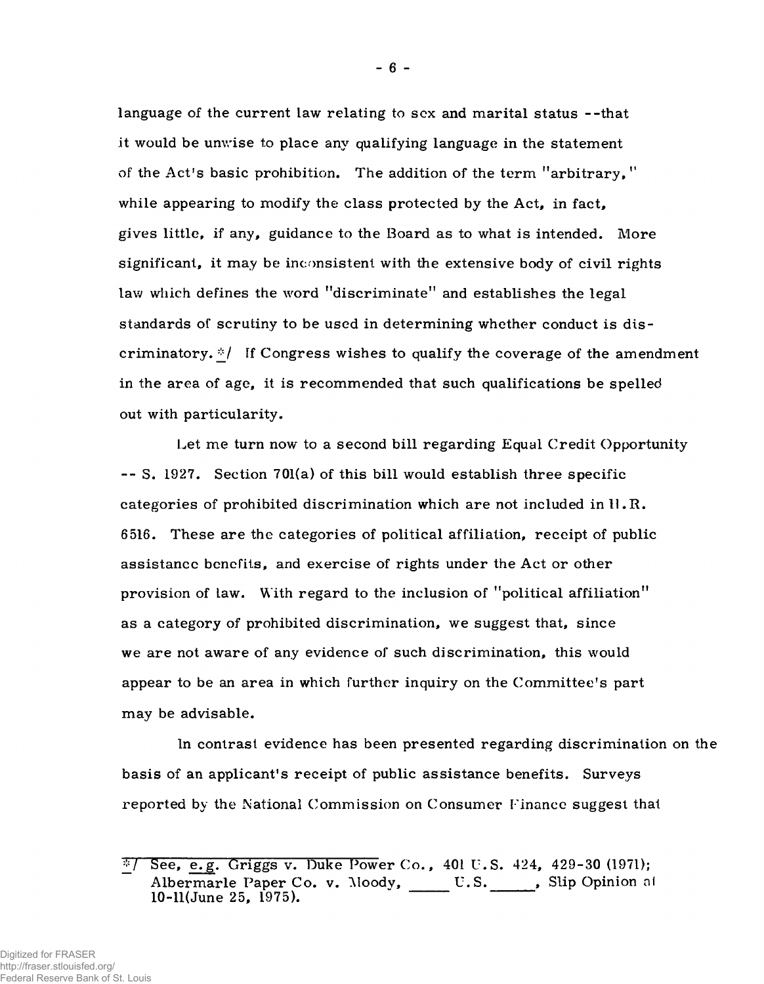language of the current law relating to sex and marital status --that it would be unwise to place any qualifying language in the statement of the Act's basic prohibition. The addition of the term "arbitrary, " while appearing to modify the class protected by the Act, in fact, gives little, if any, guidance to the Board as to what is intended. More significant, it may be inconsistent with the extensive body of civil rights law which defines the word "discriminate" and establishes the legal standards of scrutiny to be used in determining whether conduct is discriminatory. $\sqrt[k]{\ }$  If Congress wishes to qualify the coverage of the amendment in the area of age, it is recommended that such qualifications be spelled out with particularity.

Let me turn now to a second bill regarding Equal Credit Opportunity -- S. 1927. Section 701(a) of this bill would establish three specific categories of prohibited discrimination which are not included in  $\mathbb{I} \cdot \mathbb{R}$ . 6516. These are the categories of political affiliation, receipt of public assistance benefits, and exercise of rights under the Act or other provision of law. With regard to the inclusion of "political affiliation" as a category of prohibited discrimination, we suggest that, since we are not aware of any evidence of such discrimination, this would appear to be an area in which further inquiry on the Committee's part may be advisable.

In contrast evidence has been presented regarding discrimination on the basis of an applicant's receipt of public assistance benefits. Surveys reported by the National Commission on Consumer Finance suggest that

 $\sqrt[3]{}$  See, e.g. Griggs v. Duke Power Co., 401 U.S. 424, 429-30 (1971); Albermarle Paper Co. v. Moody, U.S. Slip Opinion at  $10-11$ (June 25,  $1975$ ).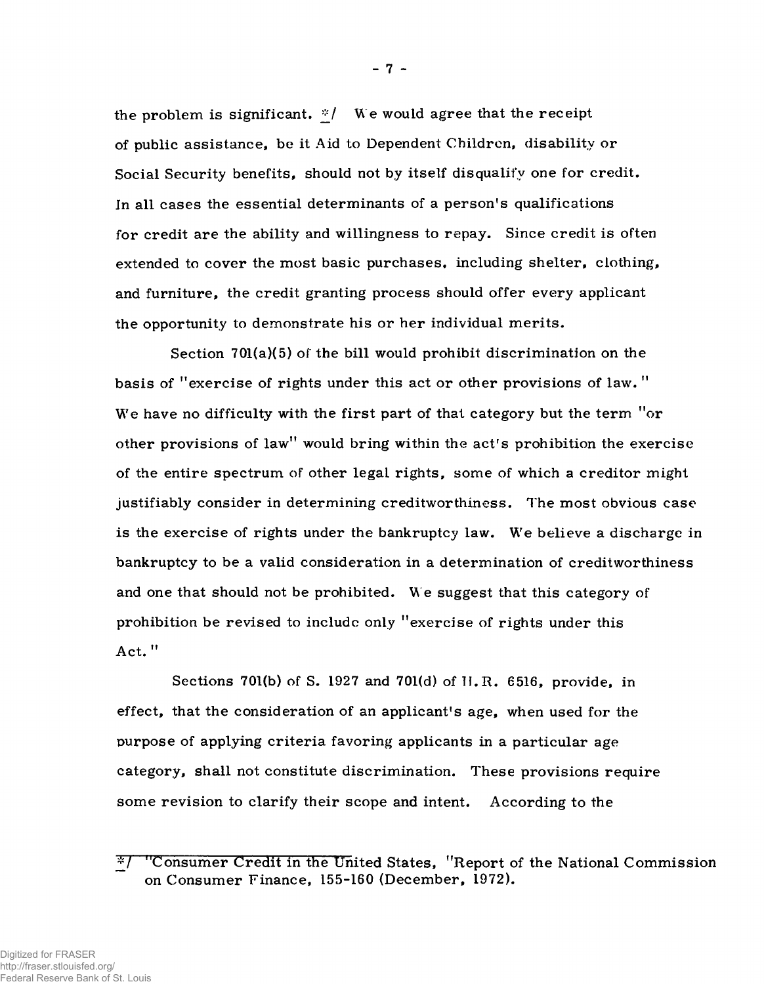the problem is significant.  $*/$  We would agree that the receipt of public assistance, be it Aid to Dependent Children, disability or Social Security benefits, should not by itself disqualify one for credit. In all cases the essential determinants of a person's qualifications for credit are the ability and willingness to repay. Since credit is often extended to cover the most basic purchases, including shelter, clothing, and furniture, the credit granting process should offer every applicant the opportunity to demonstrate his or her individual merits.

Section 701(a)(5) of the bill would prohibit discrimination on the basis of "exercise of rights under this act or other provisions of law. " We have no difficulty with the first part of that category but the term "or" other provisions of law" would bring within the act's prohibition the exercise of the entire spectrum of other legal rights, some of which a creditor might justifiably consider in determining creditworthiness. The most obvious case is the exercise of rights under the bankruptcy law. We believe a discharge in bankruptcy to be a valid consideration in a determination of creditworthiness and one that should not be prohibited. We suggest that this category of prohibition be revised to includc only "exercise of rights under this Act. "

Sections 701(b) of S. 1927 and 701(d) of TI.R. 6516, provide, in effect, that the consideration of an applicant's age, when used for the purpose of applying criteria favoring applicants in a particular age category, shall not constitute discrimination. These provisions require some revision to clarify their scope and intent. According to the

<sup>^7 &</sup>quot;Consumer Credit in the United States, "Report of the National Commission on Consumer Finance, 155-160 (December, 1972).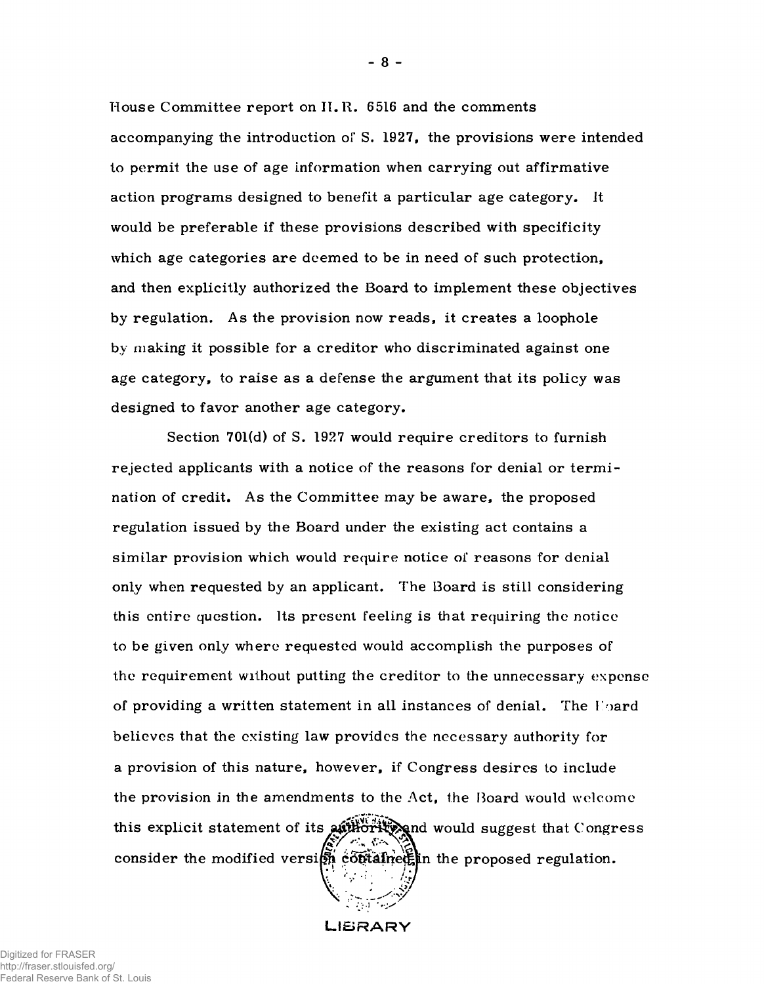House Committee report on II. R. 6516 and the comments accompanying the introduction of S. 1927, the provisions were intended to permit the use of age information when carrying out affirmative action programs designed to benefit a particular age category. It would be preferable if these provisions described with specificity which age categories are deemed to be in need of such protection, and then explicitly authorized the Board to implement these objectives by regulation. As the provision now reads, it creates a loophole by making it possible for a creditor who discriminated against one age category, to raise as a defense the argument that its policy was designed to favor another age category.

Section 701(d) of S. 1927 would require creditors to furnish rejected applicants with a notice of the reasons for denial or term ination of credit. As the Committee may be aware, the proposed regulation issued by the Board under the existing act contains a sim ilar provision which would require notice of reasons for denial only when requested by an applicant. The Board is still considering this entire question. Its present feeling is that requiring the notice to be given only where requested would accomplish the purposes of the requirement without putting the creditor to the unnecessary expense of providing a written statement in all instances of denial. The Hoard believes that the existing law provides the necessary authority for a provision of this nature, however, if Congress desires to include the provision in the amendments to the Act, the Board would welcome this explicit statement of its attractive and would suggest that Congress consider the modified version constanting the proposed regulation.

LIBRARY

**-** 8 **-**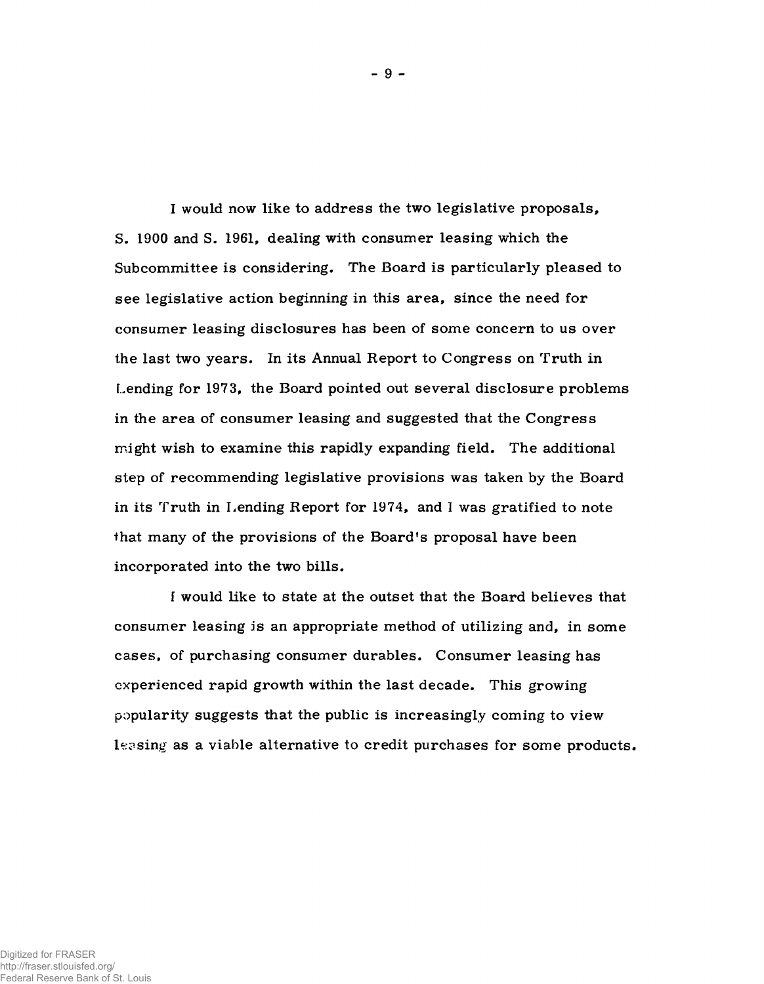I would now like to address the two legislative proposals, S. 1900 and S. 1961, dealing with consumer leasing which the Subcommittee is considering. The Board is particularly pleased to see legislative action beginning in this area, since the need for consumer leasing disclosures has been of some concern to us over the last two years. In its Annual Report to Congress on Truth in Lending for 1973, the Board pointed out several disclosure problems in the area of consumer leasing and suggested that the Congress might wish to examine this rapidly expanding field. The additional step of recommending legislative provisions was taken by the Board in its Truth in Lending Report for 1974, and 1 was gratified to note that many of the provisions of the Board's proposal have been incorporated into the two bills.

I would like to state at the outset that the Board believes that consumer leasing is an appropriate method of utilizing and, in some cases, of purchasing consumer durables. Consumer leasing has experienced rapid growth within the last decade. This growing popularity suggests that the public is increasingly coming to view leasing as a viable alternative to credit purchases for some products.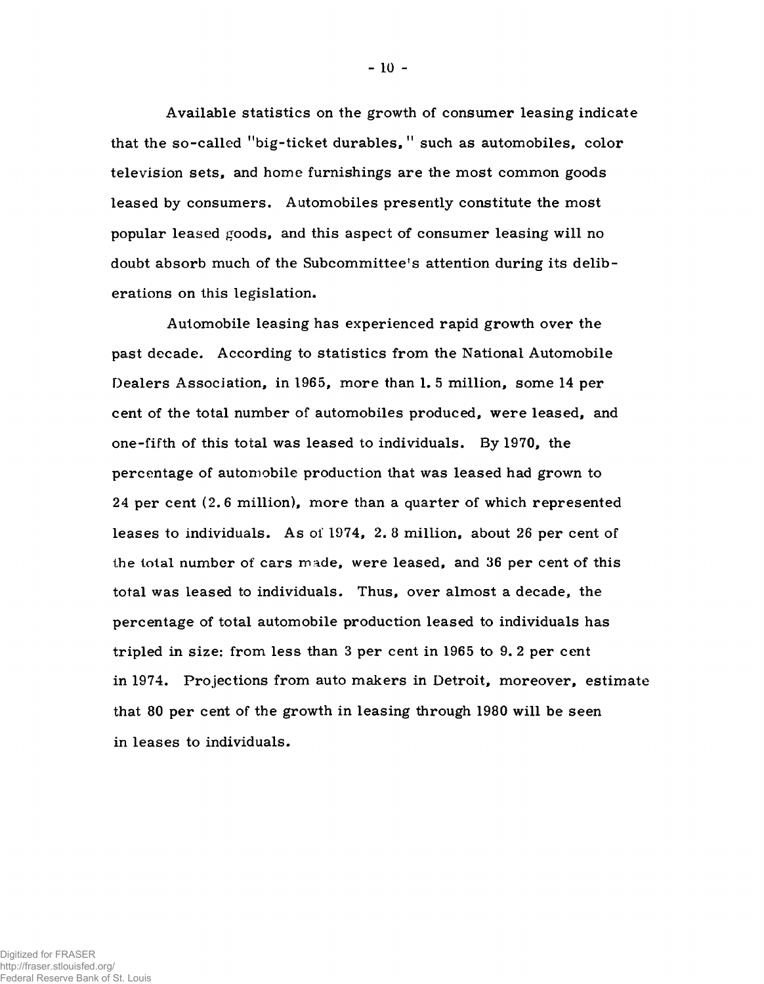Available statistics on the growth of consumer leasing indicate that the so-called "big-ticket durables," such as automobiles, color television sets, and home furnishings are the most common goods leased by consumers. Automobiles presently constitute the most popular leased goods, and this aspect of consumer leasing will no doubt absorb much of the Subcommittee's attention during its deliberations on this legislation.

Automobile leasing has experienced rapid growth over the past decade. According to statistics from the National Automobile Dealers Association, in 1965, more than 1. 5 million, some 14 per cent of the total number of automobiles produced, were leased, and one-fifth of this total was leased to individuals. By 1970, the percentage of automobile production that was leased had grown to 24 per cent (2.6 million), more than a quarter of which represented leases to individuals. As of 1974, 2. 8 million, about 26 per cent of the total number of cars made, were leased, and 36 per cent of this total was leased to individuals. Thus, over almost a decade, the percentage of total automobile production leased to individuals has tripled in size: from less than 3 per cent in 1965 to 9. 2 per cent in 1974. Projections from auto makers in Detroit, moreover, estimate that 80 per cent of the growth in leasing through 1980 will be seen in leases to individuals.

**-** 10 **-**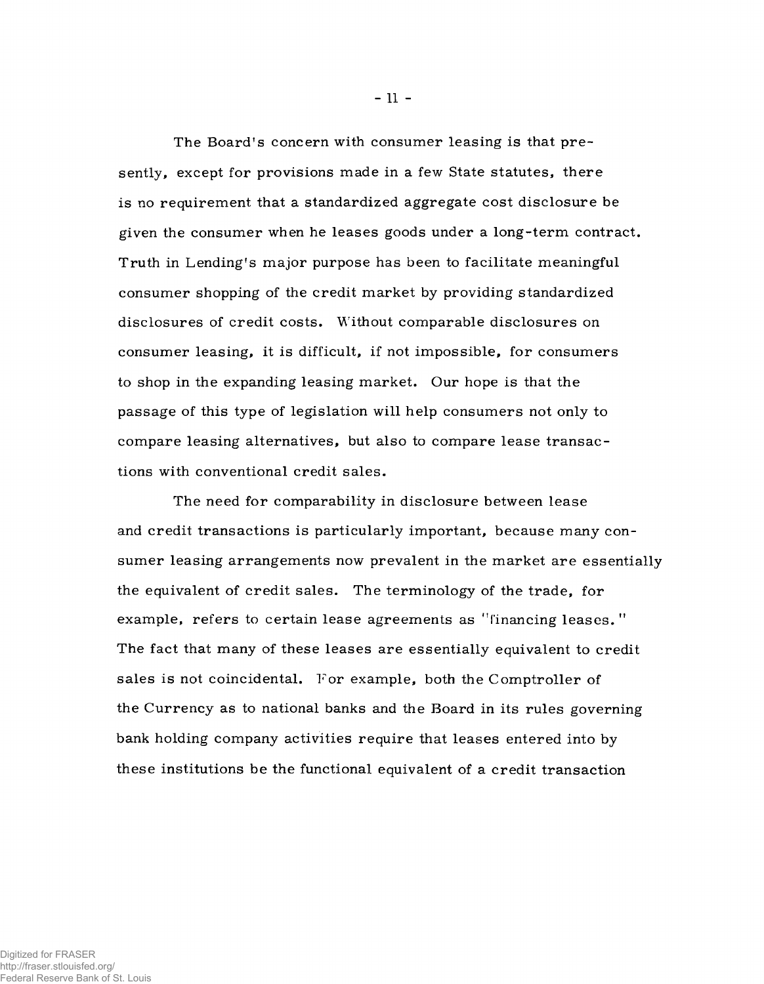The Board's concern with consumer leasing is that presently, except for provisions made in a few State statutes, there is no requirement that a standardized aggregate cost disclosure be given the consumer when he leases goods under a long-term contract. Truth in Lending's major purpose has been to facilitate meaningful consumer shopping of the credit market by providing standardized disclosures of credit costs. Without comparable disclosures on consumer leasing, it is difficult, if not impossible, for consumers to shop in the expanding leasing market. Our hope is that the passage of this type of legislation will help consumers not only to compare leasing alternatives, but also to compare lease transactions with conventional credit sales.

The need for comparability in disclosure between lease and credit transactions is particularly important, because many consumer leasing arrangements now prevalent in the market are essentially the equivalent of credit sales. The terminology of the trade, for example, refers to certain lease agreements as "financing leases." The fact that many of these leases are essentially equivalent to credit sales is not coincidental. For example, both the Comptroller of the Currency as to national banks and the Board in its rules governing bank holding company activities require that leases entered into by these institutions be the functional equivalent of a credit transaction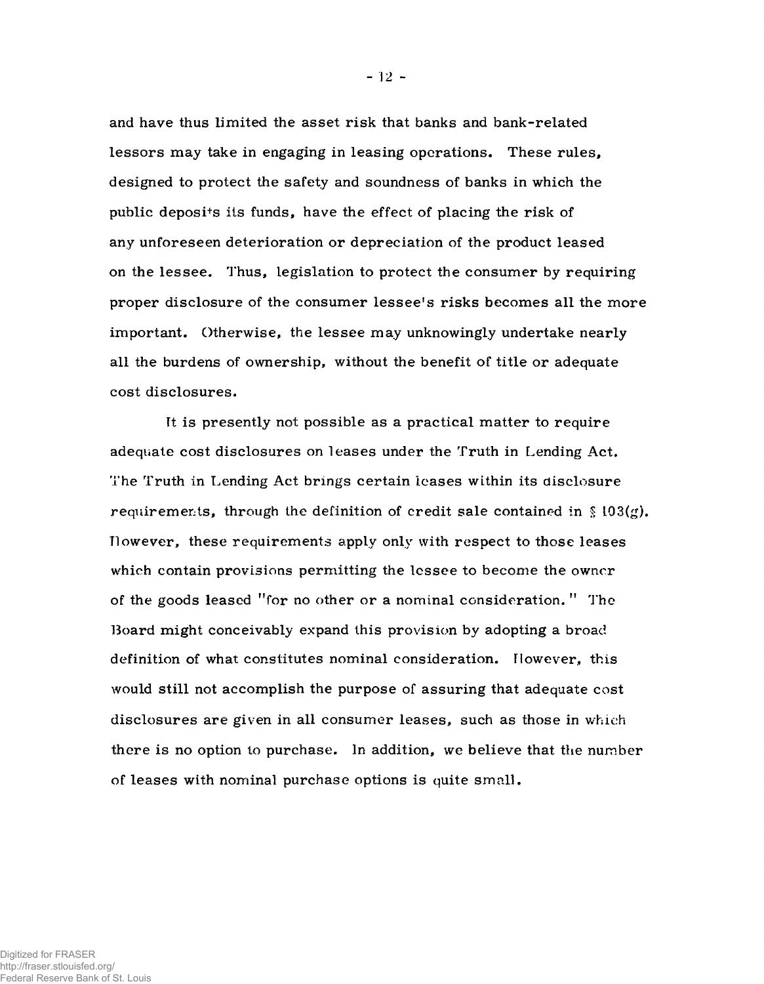and have thus limited the asset risk that banks and bank-related lessors may take in engaging in leasing operations. These rules, designed to protect the safety and soundness of banks in which the public deposi+s its funds, have the effect of placing the risk of any unforeseen deterioration or depreciation of the product leased on the lessee. Thus, legislation to protect the consumer by requiring proper disclosure of the consumer lessee's risks becomes all the more important. Otherwise, the lessee may unknowingly undertake nearly all the burdens of ownership, without the benefit of title or adequate cost disclosures.

Tt is presently not possible as a practical matter to require adequate cost disclosures on leases under the Truth in Lending Act. The Truth in Lending Act brings certain leases within its disclosure requirements, through the definition of credit sale contained in § 103(g). However, these requirements apply only with respect to those leases which contain provisions permitting the lessee to become the owner of the goods leased "for no other or a nominal consideration. " The Board might conceivably expand this provision by adopting a broad definition of what constitutes nominal consideration. However, this would still not accomplish the purpose of assuring that adequate cost disclosures are given in all consumer leases, such as those in which there is no option to purchase. In addition, we believe that the number of leases with nominal purchase options is quite small.

 $-12 -$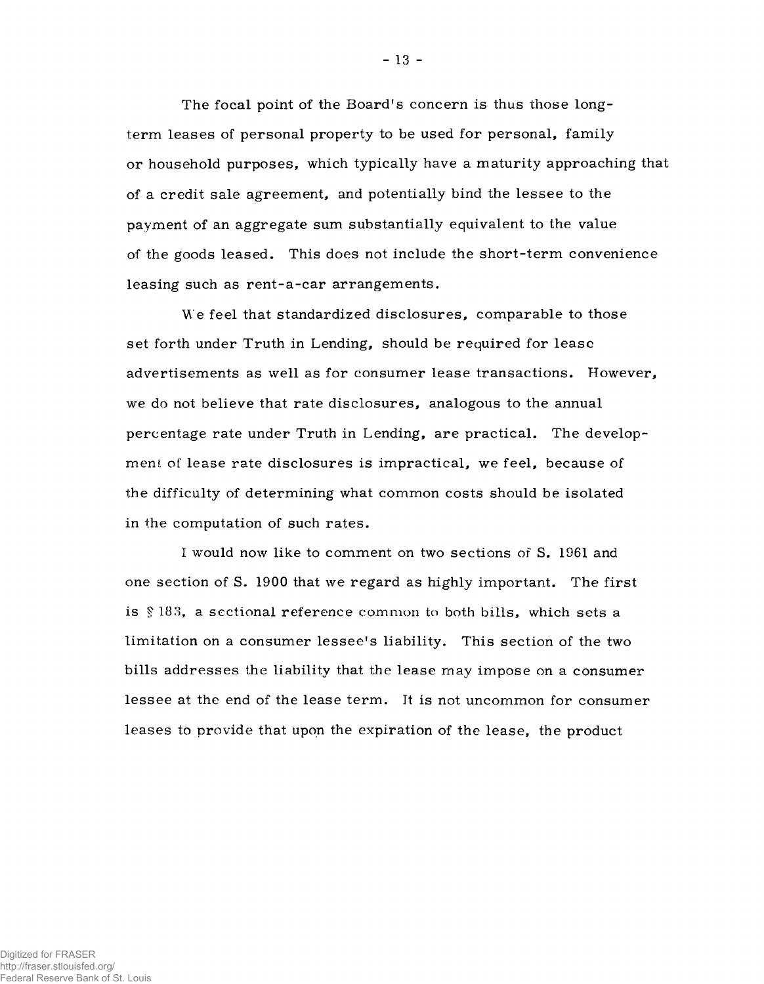The focal point of the Board's concern is thus those longterm leases of personal property to be used for personal, family or household purposes, which typically have a maturity approaching that of a credit sale agreement, and potentially bind the lessee to the payment of an aggregate sum substantially equivalent to the value of the goods leased. This does not include the short-term convenience leasing such as rent-a-car arrangements.

We feel that standardized disclosures, comparable to those set forth under Truth in Lending, should be required for lease advertisements as well as for consumer lease transactions. However, we do not believe that rate disclosures, analogous to the annual percentage rate under Truth in Lending, are practical. The development of lease rate disclosures is impractical, we feel, because of the difficulty of determining what common costs should be isolated in the computation of such rates.

I would now like to comment on two sections of S. 1961 and one section of S. 1900 that we regard as highly important. The first is  $§$  183, a sectional reference common to both bills, which sets a limitation on a consumer lessee's liability. This section of the two bills addresses the liability that the lease may impose on a consumer lessee at the end of the lease term. It is not uncommon for consumer leases to provide that upon the expiration of the lease, the product

- 13 -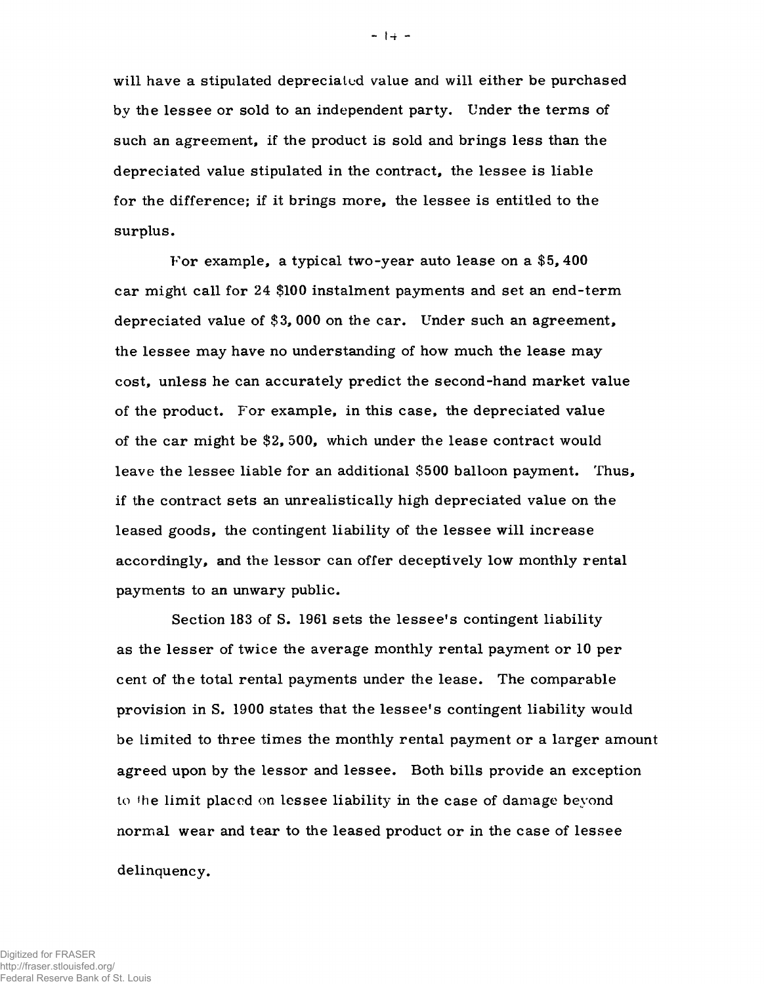will have a stipulated depreciated value and will either be purchased by the lessee or sold to an independent party. Under the terms of such an agreement, if the product is sold and brings less than the depreciated value stipulated in the contract, the lessee is liable for the difference; if it brings more, the lessee is entitled to the surplus.

For example, a typical two-year auto lease on a \$5, 400 car might call for 24 \$100 instalment payments and set an end-term depreciated value of \$3, 000 on the car. Under such an agreement, the lessee may have no understanding of how much the lease may cost, unless he can accurately predict the second-hand market value of the product. For example, in this case, the depreciated value of the car might be \$2, 500, which under the lease contract would leave the lessee liable for an additional \$500 balloon payment. Thus, if the contract sets an unrealistic ally high depreciated value on the leased goods, the contingent liability of the lessee will increase accordingly, and the lessor can offer deceptively low monthly rental payments to an unwary public.

Section 183 of S. 1961 sets the lessee's contingent liability as the lesser of twice the average monthly rental payment or 10 per cent of the total rental payments under the lease. The comparable provision in S. 1900 states that the lessee's contingent liability would be limited to three times the monthly rental payment or a larger amount agreed upon by the lessor and lessee. Both bills provide an exception to the limit placed on lessee liability in the case of damage beyond normal wear and tear to the leased product or in the case of lessee

delinquency.

 $-1 + -$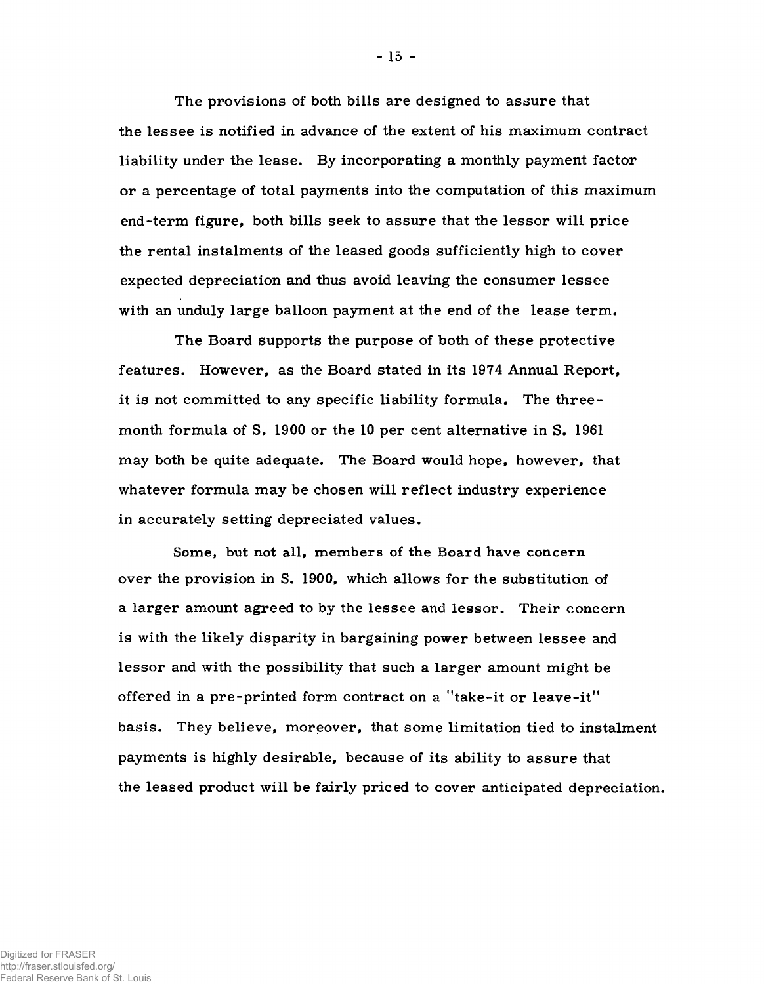The provisions of both bills are designed to assure that the lessee is notified in advance of the extent of his maximum contract liability under the lease. By incorporating a monthly payment factor or a percentage of total payments into the computation of this maximum end-term figure, both bills seek to assure that the lessor will price the rental instalments of the leased goods sufficiently high to cover expected depreciation and thus avoid leaving the consumer lessee with an unduly large balloon payment at the end of the lease term.

The Board supports the purpose of both of these protective features. However, as the Board stated in its 1974 Annual Report, it is not committed to any specific liability formula. The threemonth formula of S. 1900 or the 10 per cent alternative in S. 1961 may both be quite adequate. The Board would hope, however, that whatever formula may be chosen will reflect industry experience in accurately setting depreciated values.

Some, but not all, members of the Board have concern over the provision in S. 1900, which allows for the substitution of a larger amount agreed to by the lessee and lessor. Their concern is with the likely disparity in bargaining power between lessee and lessor and with the possibility that such a larger amount might be offered in a pre-printed form contract on a "take-it or leave-it" basis. They believe, moreover, that some limitation tied to instalment payments is highly desirable, because of its ability to assure that the leased product will be fairly priced to cover anticipated depreciation.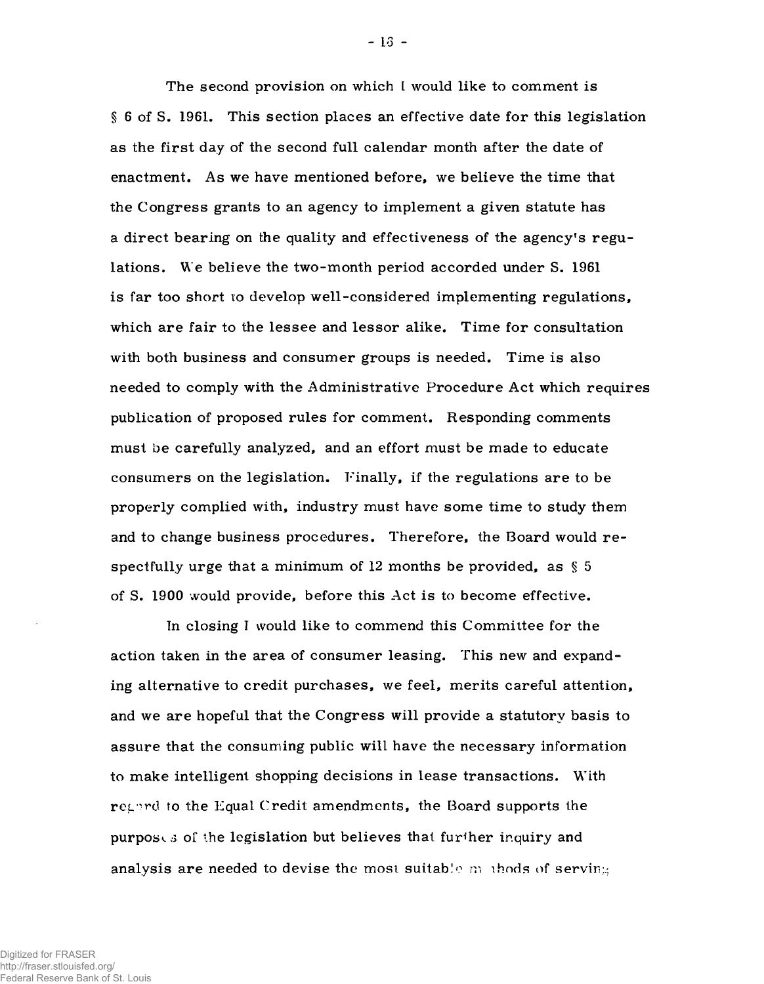The second provision on which I would like to comment is § 6 of S. 1961. This section places an effective date for this legislation as the first day of the second full calendar month after the date of enactment. As we have mentioned before, we believe the time that the Congress grants to an agency to implement a given statute has a direct bearing on the quality and effectiveness of the agency's regulations. We believe the two-month period accorded under S. 1961 is far too short to develop well-considered implementing regulations, which are fair to the lessee and lessor alike. Time for consultation with both business and consumer groups is needed. Time is also needed to comply with the Administrative Procedure Act which requires publication of proposed rules for comment. Responding comments must be carefully analyzed, and an effort must be made to educate consumers on the legislation. Finally, if the regulations are to be properly complied with, industry must have some time to study them and to change business procedures. Therefore, the Board would re spectfully urge that a minimum of 12 months be provided, as § 5 of S. 1900 would provide, before this Act is to become effective.

In closing I would like to commend this Committee for the action taken in the area of consumer leasing. This new and expanding alternative to credit purchases, we feel, merits careful attention, and we are hopeful that the Congress will provide a statutory basis to assure that the consuming public will have the necessary information to make intelligent shopping decisions in Lease transactions. With regard to the Equal Credit amendments, the Board supports the purposes of the legislation but believes that further inquiry and analysis are needed to devise the most suitable much of serving

 $-13 -$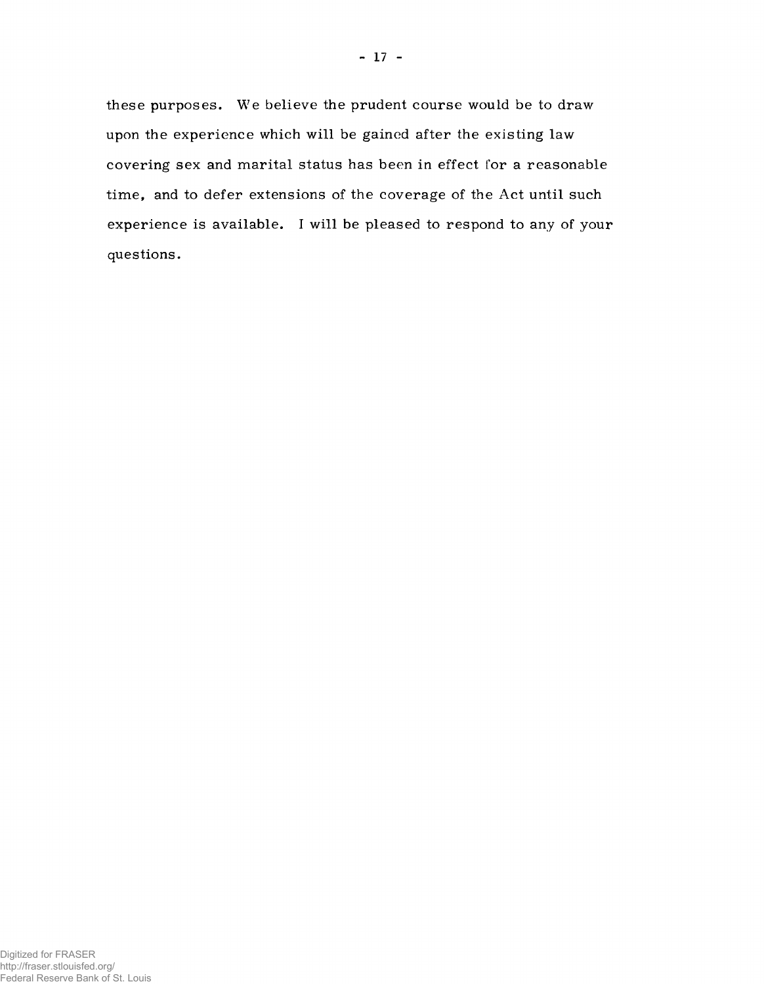these purposes. We believe the prudent course would be to draw upon the experience which will be gained after the existing law covering sex and marital status has been in effect for a reasonable time, and to defer extensions of the coverage of the Act until such experience is available. I will be pleased to respond to any of your questions.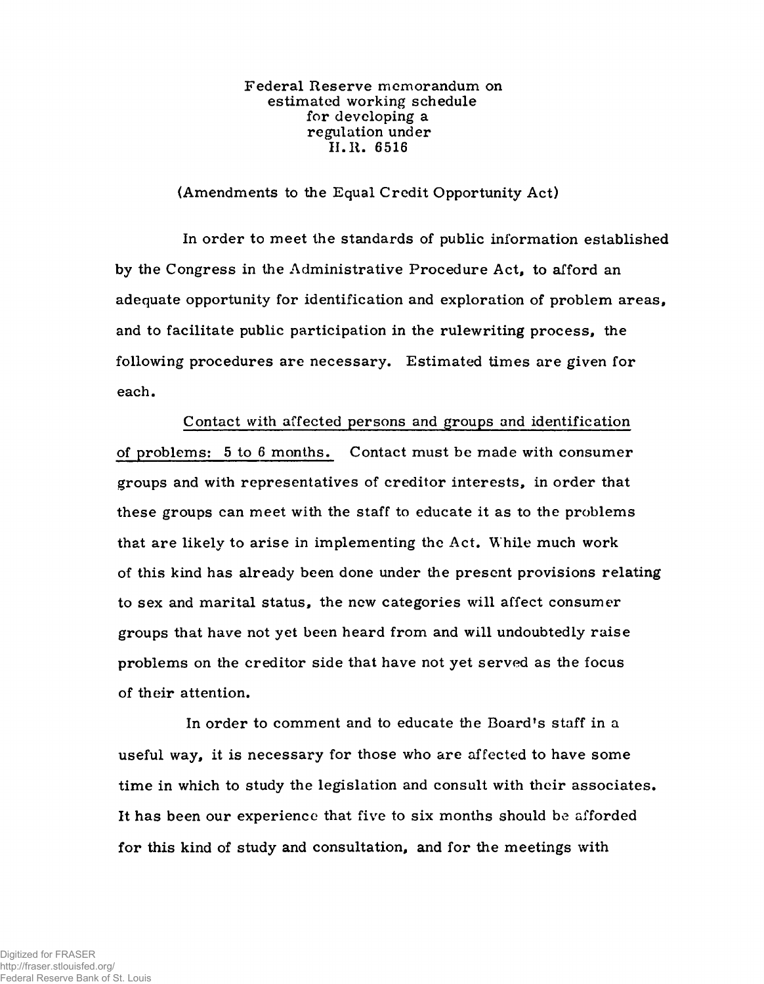Federal Reserve memorandum on estimated working schedule for developing a regulation under II. R. 6516

(Amendments to the Equal Credit Opportunity Act)

In order to meet the standards of public information established by the Congress in the Administrative Procedure Act, to afford an adequate opportunity for identification and exploration of problem areas, and to facilitate public participation in the rulewriting process, the following procedures are necessary. Estimated times are given for each.

Contact with affected persons and groups and identification of problems: 5 to 6 months. Contact must be made with consumer groups and with representatives of creditor interests, in order that these groups can meet with the staff to educate it as to the problems that are likely to arise in implementing the Act. While much work of this kind has already been done under the present provisions relating to sex and marital status, the new categories will affect consumer groups that have not yet been heard from and will undoubtedly raise problems on the creditor side that have not yet served as the focus of their attention.

In order to comment and to educate the Board's staff in a useful way, it is necessary for those who are affected to have some time in which to study the legislation and consult with their associates. It has been our experience that five to six months should be afforded for this kind of study and consultation, and for the meetings with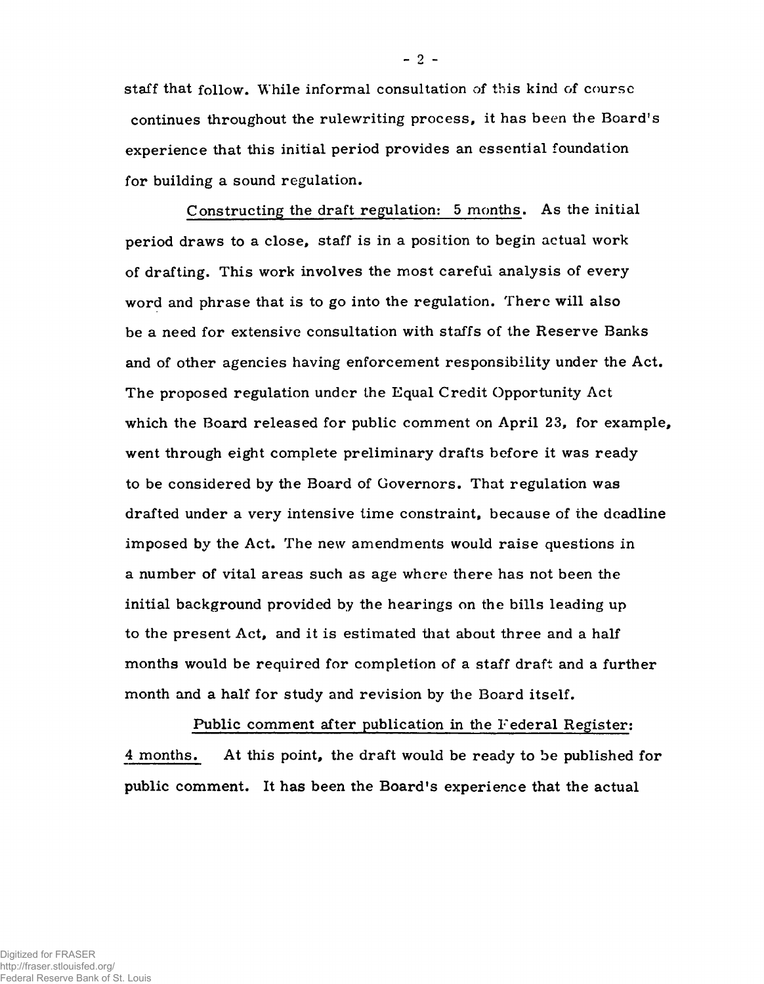staff that follow. While informal consultation of this kind of course continues throughout the rulewriting process, it has been the Board's experience that this initial period provides an essential foundation for building a sound regulation.

Constructing the draft regulation: 5 months. As the initial period draws to a close, staff is in a position to begin actual work of drafting. This work involves the most careful analysis of every word and phrase that is to go into the regulation. There will also be a need for extensive consultation with staffs of the Reserve Banks and of other agencies having enforcement responsibility under the Act. The proposed regulation under the Equal Credit Opportunity Act which the Board released for public comment on April 23, for example, went through eight complete preliminary drafts before it was ready to be considered by the Board of Governors. That regulation was drafted under a very intensive time constraint, because of the deadline imposed by the Act. The new amendments would raise questions in a number of vital areas such as age where there has not been the initial background provided by the hearings on the bills leading up to the present Act, and it is estimated that about three and a half months would be required for completion of a staff draft and a further month and a half for study and revision by the Board itself.

Public comment after publication in the Federal Register: 4 months. At this point, the draft would be ready to be published for public comment. It has been the Board's experience that the actual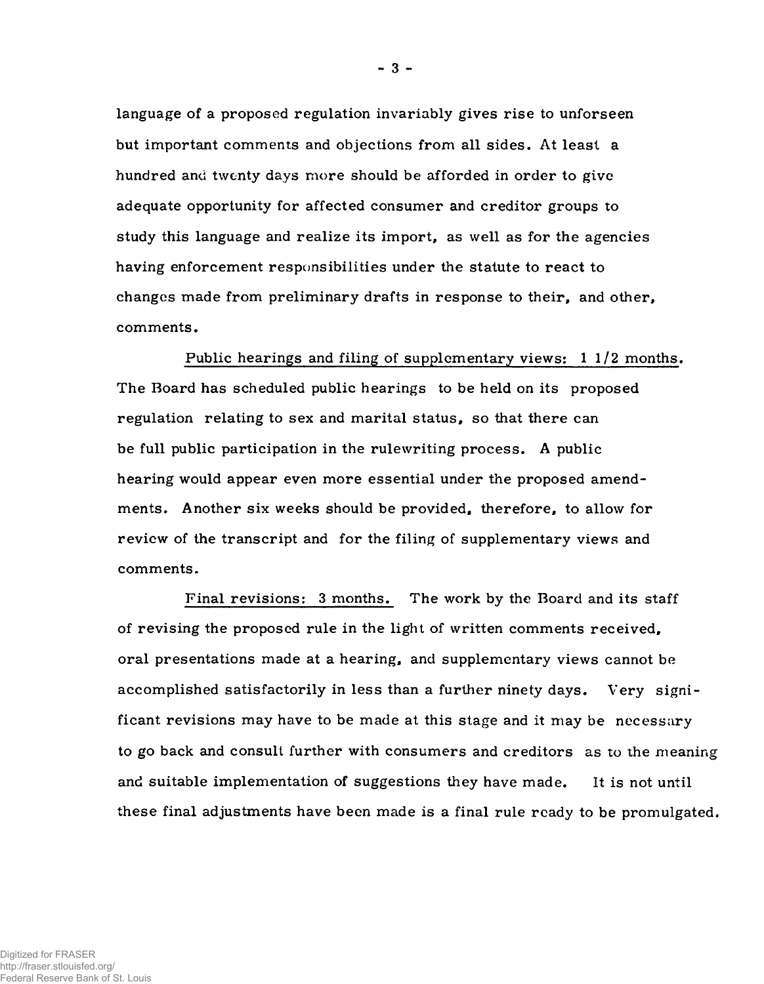language of a proposed regulation invariably gives rise to unforseen but important comments and objections from all sides. At least a hundred and twenty days more should be afforded in order to give adequate opportunity for affected consumer and creditor groups to study this language and realize its import, as well as for the agencies having enforcement responsibilities under the statute to react to changes made from preliminary drafts in response to their, and other, comments.

Public hearings and filing of supplementary views: 1 1/2 months. The Board has scheduled public hearings to be held on its proposed regulation relating to sex and marital status, so that there can be full public participation in the rulewriting process. A public hearing would appear even more essential under the proposed amendments. Another six weeks should be provided, therefore, to allow for review of the transcript and for the filing of supplementary views and comments.

Final revisions: 3 months. The work by the Board and its staff of revising the proposed rule in the light of written comments received, oral presentations made at a hearing, and supplementary views cannot be accomplished satisfactorily in less than a further ninety days. Very significant revisions may have to be made at this stage and it may be necessary to go back and consult further with consumers and creditors as to the meaning and suitable implementation of suggestions they have made. It is not until these final adjustments have been made is a final rule ready to be promulgated.

**-** 3 **-**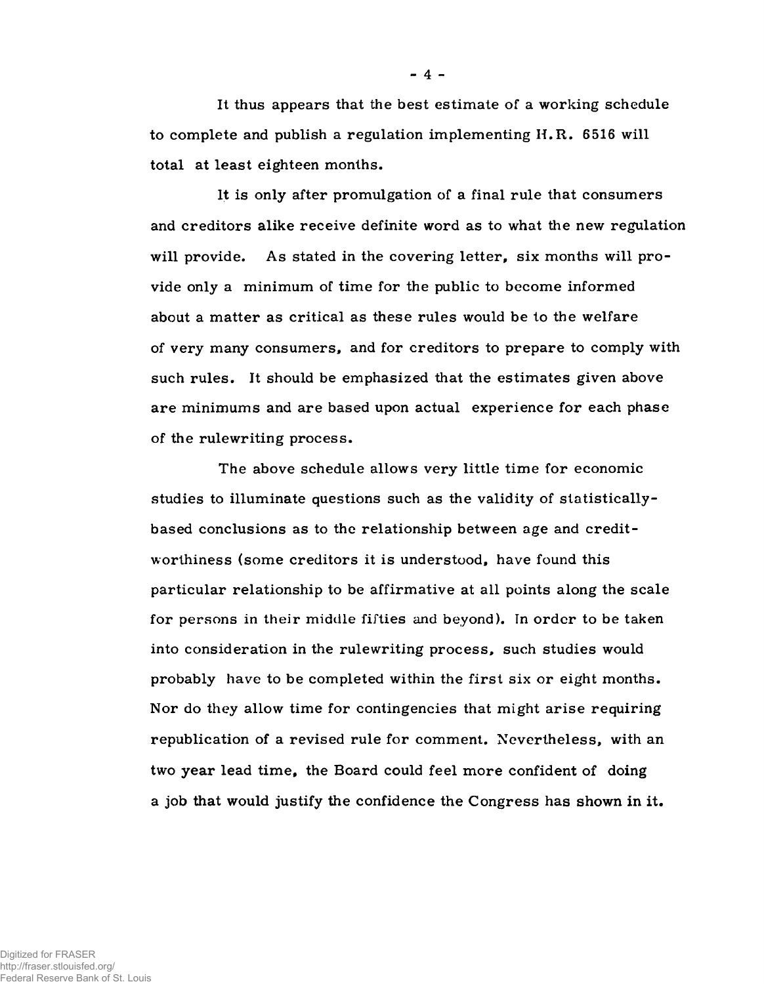It thus appears that the best estimate of a working schedule to complete and publish a regulation implementing  $H.R.$  6516 will total at least eighteen months.

It is only after promulgation of a final rule that consumers and creditors alike receive definite word as to what the new regulation will provide. As stated in the covering letter, six months will provide only a minimum of time for the public to become informed about a matter as critical as these rules would be to the welfare of very many consumers, and for creditors to prepare to comply with such rules. It should be emphasized that the estimates given above are minimums and are based upon actual experience for each phase of the rulewriting process.

The above schedule allows very little time for economic studies to illuminate questions such as the validity of statisticallybased conclusions as to the relationship between age and creditworthiness (some creditors it is understood, have found this particular relationship to be affirm ative at all points along the scale for persons in their middle fifties and beyond). In order to be taken into consideration in the rulewriting process, such studies would probably have to be completed within the first six or eight months. Nor do they allow time for contingencies that might arise requiring republication of a revised rule for comment. Nevertheless, with an two year lead time, the Board could feel more confident of doing a job that would justify the confidence the Congress has shown in it.

**-** 4 **-**